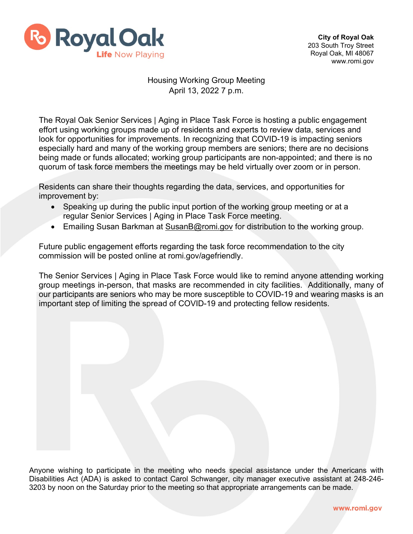

## Housing Working Group Meeting April 13, 2022 7 p.m.

The Royal Oak Senior Services | Aging in Place Task Force is hosting a public engagement effort using working groups made up of residents and experts to review data, services and look for opportunities for improvements. In recognizing that COVID-19 is impacting seniors especially hard and many of the working group members are seniors; there are no decisions being made or funds allocated; working group participants are non-appointed; and there is no quorum of task force members the meetings may be held virtually over zoom or in person.

Residents can share their thoughts regarding the data, services, and opportunities for improvement by:

- Speaking up during the public input portion of the working group meeting or at a regular Senior Services | Aging in Place Task Force meeting.
- Emailing Susan Barkman at [SusanB@romi.gov](mailto:SusanB@romi.gov) for distribution to the working group.

Future public engagement efforts regarding the task force recommendation to the city commission will be posted online at romi.gov/agefriendly.

The Senior Services | Aging in Place Task Force would like to remind anyone attending working group meetings in-person, that masks are recommended in city facilities. Additionally, many of our participants are seniors who may be more susceptible to COVID-19 and wearing masks is an important step of limiting the spread of COVID-19 and protecting fellow residents.

Anyone wishing to participate in the meeting who needs special assistance under the Americans with Disabilities Act (ADA) is asked to contact Carol Schwanger, city manager executive assistant at 248-246- 3203 by noon on the Saturday prior to the meeting so that appropriate arrangements can be made.